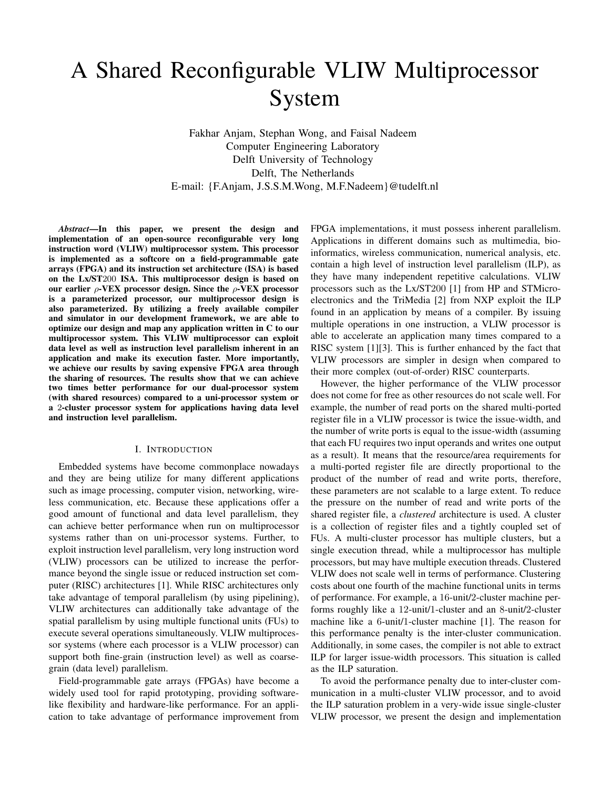# A Shared Reconfigurable VLIW Multiprocessor System

Fakhar Anjam, Stephan Wong, and Faisal Nadeem Computer Engineering Laboratory Delft University of Technology Delft, The Netherlands E-mail: {F.Anjam, J.S.S.M.Wong, M.F.Nadeem}@tudelft.nl

*Abstract***—In this paper, we present the design and implementation of an open-source reconfigurable very long instruction word (VLIW) multiprocessor system. This processor is implemented as a softcore on a field-programmable gate arrays (FPGA) and its instruction set architecture (ISA) is based on the Lx/ST**200 **ISA. This multiprocessor design is based on our earlier** ρ**-VEX processor design. Since the** ρ**-VEX processor is a parameterized processor, our multiprocessor design is also parameterized. By utilizing a freely available compiler and simulator in our development framework, we are able to optimize our design and map any application written in C to our multiprocessor system. This VLIW multiprocessor can exploit data level as well as instruction level parallelism inherent in an application and make its execution faster. More importantly, we achieve our results by saving expensive FPGA area through the sharing of resources. The results show that we can achieve two times better performance for our dual-processor system (with shared resources) compared to a uni-processor system or a** 2**-cluster processor system for applications having data level and instruction level parallelism.**

## I. INTRODUCTION

Embedded systems have become commonplace nowadays and they are being utilize for many different applications such as image processing, computer vision, networking, wireless communication, etc. Because these applications offer a good amount of functional and data level parallelism, they can achieve better performance when run on multiprocessor systems rather than on uni-processor systems. Further, to exploit instruction level parallelism, very long instruction word (VLIW) processors can be utilized to increase the performance beyond the single issue or reduced instruction set computer (RISC) architectures [1]. While RISC architectures only take advantage of temporal parallelism (by using pipelining), VLIW architectures can additionally take advantage of the spatial parallelism by using multiple functional units (FUs) to execute several operations simultaneously. VLIW multiprocessor systems (where each processor is a VLIW processor) can support both fine-grain (instruction level) as well as coarsegrain (data level) parallelism.

Field-programmable gate arrays (FPGAs) have become a widely used tool for rapid prototyping, providing softwarelike flexibility and hardware-like performance. For an application to take advantage of performance improvement from FPGA implementations, it must possess inherent parallelism. Applications in different domains such as multimedia, bioinformatics, wireless communication, numerical analysis, etc. contain a high level of instruction level parallelism (ILP), as they have many independent repetitive calculations. VLIW processors such as the Lx/ST200 [1] from HP and STMicroelectronics and the TriMedia [2] from NXP exploit the ILP found in an application by means of a compiler. By issuing multiple operations in one instruction, a VLIW processor is able to accelerate an application many times compared to a RISC system [1][3]. This is further enhanced by the fact that VLIW processors are simpler in design when compared to their more complex (out-of-order) RISC counterparts.

However, the higher performance of the VLIW processor does not come for free as other resources do not scale well. For example, the number of read ports on the shared multi-ported register file in a VLIW processor is twice the issue-width, and the number of write ports is equal to the issue-width (assuming that each FU requires two input operands and writes one output as a result). It means that the resource/area requirements for a multi-ported register file are directly proportional to the product of the number of read and write ports, therefore, these parameters are not scalable to a large extent. To reduce the pressure on the number of read and write ports of the shared register file, a *clustered* architecture is used. A cluster is a collection of register files and a tightly coupled set of FUs. A multi-cluster processor has multiple clusters, but a single execution thread, while a multiprocessor has multiple processors, but may have multiple execution threads. Clustered VLIW does not scale well in terms of performance. Clustering costs about one fourth of the machine functional units in terms of performance. For example, a 16-unit/2-cluster machine performs roughly like a 12-unit/1-cluster and an 8-unit/2-cluster machine like a 6-unit/1-cluster machine [1]. The reason for this performance penalty is the inter-cluster communication. Additionally, in some cases, the compiler is not able to extract ILP for larger issue-width processors. This situation is called as the ILP saturation.

To avoid the performance penalty due to inter-cluster communication in a multi-cluster VLIW processor, and to avoid the ILP saturation problem in a very-wide issue single-cluster VLIW processor, we present the design and implementation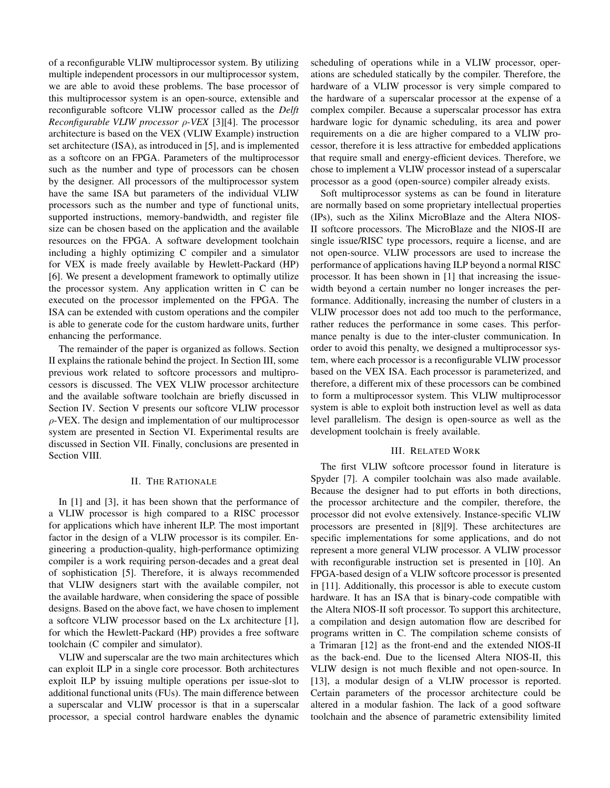of a reconfigurable VLIW multiprocessor system. By utilizing multiple independent processors in our multiprocessor system, we are able to avoid these problems. The base processor of this multiprocessor system is an open-source, extensible and reconfigurable softcore VLIW processor called as the *Delft Reconfigurable VLIW processor* ρ*-VEX* [3][4]. The processor architecture is based on the VEX (VLIW Example) instruction set architecture (ISA), as introduced in [5], and is implemented as a softcore on an FPGA. Parameters of the multiprocessor such as the number and type of processors can be chosen by the designer. All processors of the multiprocessor system have the same ISA but parameters of the individual VLIW processors such as the number and type of functional units, supported instructions, memory-bandwidth, and register file size can be chosen based on the application and the available resources on the FPGA. A software development toolchain including a highly optimizing C compiler and a simulator for VEX is made freely available by Hewlett-Packard (HP) [6]. We present a development framework to optimally utilize the processor system. Any application written in C can be executed on the processor implemented on the FPGA. The ISA can be extended with custom operations and the compiler is able to generate code for the custom hardware units, further enhancing the performance.

The remainder of the paper is organized as follows. Section II explains the rationale behind the project. In Section III, some previous work related to softcore processors and multiprocessors is discussed. The VEX VLIW processor architecture and the available software toolchain are briefly discussed in Section IV. Section V presents our softcore VLIW processor  $\rho$ -VEX. The design and implementation of our multiprocessor system are presented in Section VI. Experimental results are discussed in Section VII. Finally, conclusions are presented in Section VIII.

# II. THE RATIONALE

In [1] and [3], it has been shown that the performance of a VLIW processor is high compared to a RISC processor for applications which have inherent ILP. The most important factor in the design of a VLIW processor is its compiler. Engineering a production-quality, high-performance optimizing compiler is a work requiring person-decades and a great deal of sophistication [5]. Therefore, it is always recommended that VLIW designers start with the available compiler, not the available hardware, when considering the space of possible designs. Based on the above fact, we have chosen to implement a softcore VLIW processor based on the Lx architecture [1], for which the Hewlett-Packard (HP) provides a free software toolchain (C compiler and simulator).

VLIW and superscalar are the two main architectures which can exploit ILP in a single core processor. Both architectures exploit ILP by issuing multiple operations per issue-slot to additional functional units (FUs). The main difference between a superscalar and VLIW processor is that in a superscalar processor, a special control hardware enables the dynamic scheduling of operations while in a VLIW processor, operations are scheduled statically by the compiler. Therefore, the hardware of a VLIW processor is very simple compared to the hardware of a superscalar processor at the expense of a complex compiler. Because a superscalar processor has extra hardware logic for dynamic scheduling, its area and power requirements on a die are higher compared to a VLIW processor, therefore it is less attractive for embedded applications that require small and energy-efficient devices. Therefore, we chose to implement a VLIW processor instead of a superscalar processor as a good (open-source) compiler already exists.

Soft multiprocessor systems as can be found in literature are normally based on some proprietary intellectual properties (IPs), such as the Xilinx MicroBlaze and the Altera NIOS-II softcore processors. The MicroBlaze and the NIOS-II are single issue/RISC type processors, require a license, and are not open-source. VLIW processors are used to increase the performance of applications having ILP beyond a normal RISC processor. It has been shown in [1] that increasing the issuewidth beyond a certain number no longer increases the performance. Additionally, increasing the number of clusters in a VLIW processor does not add too much to the performance, rather reduces the performance in some cases. This performance penalty is due to the inter-cluster communication. In order to avoid this penalty, we designed a multiprocessor system, where each processor is a reconfigurable VLIW processor based on the VEX ISA. Each processor is parameterized, and therefore, a different mix of these processors can be combined to form a multiprocessor system. This VLIW multiprocessor system is able to exploit both instruction level as well as data level parallelism. The design is open-source as well as the development toolchain is freely available.

#### III. RELATED WORK

The first VLIW softcore processor found in literature is Spyder [7]. A compiler toolchain was also made available. Because the designer had to put efforts in both directions, the processor architecture and the compiler, therefore, the processor did not evolve extensively. Instance-specific VLIW processors are presented in [8][9]. These architectures are specific implementations for some applications, and do not represent a more general VLIW processor. A VLIW processor with reconfigurable instruction set is presented in [10]. An FPGA-based design of a VLIW softcore processor is presented in [11]. Additionally, this processor is able to execute custom hardware. It has an ISA that is binary-code compatible with the Altera NIOS-II soft processor. To support this architecture, a compilation and design automation flow are described for programs written in C. The compilation scheme consists of a Trimaran [12] as the front-end and the extended NIOS-II as the back-end. Due to the licensed Altera NIOS-II, this VLIW design is not much flexible and not open-source. In [13], a modular design of a VLIW processor is reported. Certain parameters of the processor architecture could be altered in a modular fashion. The lack of a good software toolchain and the absence of parametric extensibility limited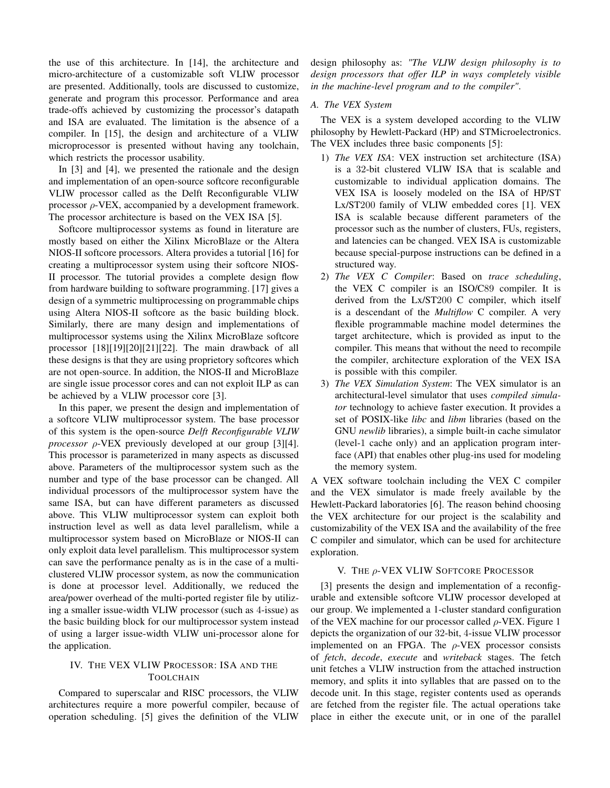the use of this architecture. In [14], the architecture and micro-architecture of a customizable soft VLIW processor are presented. Additionally, tools are discussed to customize, generate and program this processor. Performance and area trade-offs achieved by customizing the processor's datapath and ISA are evaluated. The limitation is the absence of a compiler. In [15], the design and architecture of a VLIW microprocessor is presented without having any toolchain, which restricts the processor usability.

In [3] and [4], we presented the rationale and the design and implementation of an open-source softcore reconfigurable VLIW processor called as the Delft Reconfigurable VLIW processor  $ρ$ -VEX, accompanied by a development framework. The processor architecture is based on the VEX ISA [5].

Softcore multiprocessor systems as found in literature are mostly based on either the Xilinx MicroBlaze or the Altera NIOS-II softcore processors. Altera provides a tutorial [16] for creating a multiprocessor system using their softcore NIOS-II processor. The tutorial provides a complete design flow from hardware building to software programming. [17] gives a design of a symmetric multiprocessing on programmable chips using Altera NIOS-II softcore as the basic building block. Similarly, there are many design and implementations of multiprocessor systems using the Xilinx MicroBlaze softcore processor [18][19][20][21][22]. The main drawback of all these designs is that they are using proprietory softcores which are not open-source. In addition, the NIOS-II and MicroBlaze are single issue processor cores and can not exploit ILP as can be achieved by a VLIW processor core [3].

In this paper, we present the design and implementation of a softcore VLIW multiprocessor system. The base processor of this system is the open-source *Delft Reconfigurable VLIW processor* ρ-VEX previously developed at our group [3][4]. This processor is parameterized in many aspects as discussed above. Parameters of the multiprocessor system such as the number and type of the base processor can be changed. All individual processors of the multiprocessor system have the same ISA, but can have different parameters as discussed above. This VLIW multiprocessor system can exploit both instruction level as well as data level parallelism, while a multiprocessor system based on MicroBlaze or NIOS-II can only exploit data level parallelism. This multiprocessor system can save the performance penalty as is in the case of a multiclustered VLIW processor system, as now the communication is done at processor level. Additionally, we reduced the area/power overhead of the multi-ported register file by utilizing a smaller issue-width VLIW processor (such as 4-issue) as the basic building block for our multiprocessor system instead of using a larger issue-width VLIW uni-processor alone for the application.

# IV. THE VEX VLIW PROCESSOR: ISA AND THE **TOOLCHAIN**

Compared to superscalar and RISC processors, the VLIW architectures require a more powerful compiler, because of operation scheduling. [5] gives the definition of the VLIW

design philosophy as: *"The VLIW design philosophy is to design processors that offer ILP in ways completely visible in the machine-level program and to the compiler"*.

# *A. The VEX System*

The VEX is a system developed according to the VLIW philosophy by Hewlett-Packard (HP) and STMicroelectronics. The VEX includes three basic components [5]:

- 1) *The VEX ISA*: VEX instruction set architecture (ISA) is a 32-bit clustered VLIW ISA that is scalable and customizable to individual application domains. The VEX ISA is loosely modeled on the ISA of HP/ST Lx/ST200 family of VLIW embedded cores [1]. VEX ISA is scalable because different parameters of the processor such as the number of clusters, FUs, registers, and latencies can be changed. VEX ISA is customizable because special-purpose instructions can be defined in a structured way.
- 2) *The VEX C Compiler*: Based on *trace scheduling*, the VEX C compiler is an ISO/C89 compiler. It is derived from the Lx/ST200 C compiler, which itself is a descendant of the *Multiflow* C compiler. A very flexible programmable machine model determines the target architecture, which is provided as input to the compiler. This means that without the need to recompile the compiler, architecture exploration of the VEX ISA is possible with this compiler.
- 3) *The VEX Simulation System*: The VEX simulator is an architectural-level simulator that uses *compiled simulator* technology to achieve faster execution. It provides a set of POSIX-like *libc* and *libm* libraries (based on the GNU *newlib* libraries), a simple built-in cache simulator (level-1 cache only) and an application program interface (API) that enables other plug-ins used for modeling the memory system.

A VEX software toolchain including the VEX C compiler and the VEX simulator is made freely available by the Hewlett-Packard laboratories [6]. The reason behind choosing the VEX architecture for our project is the scalability and customizability of the VEX ISA and the availability of the free C compiler and simulator, which can be used for architecture exploration.

# V. THE ρ-VEX VLIW SOFTCORE PROCESSOR

[3] presents the design and implementation of a reconfigurable and extensible softcore VLIW processor developed at our group. We implemented a 1-cluster standard configuration of the VEX machine for our processor called  $\rho$ -VEX. Figure 1 depicts the organization of our 32-bit, 4-issue VLIW processor implemented on an FPGA. The  $\rho$ -VEX processor consists of *fetch*, *decode*, *execute* and *writeback* stages. The fetch unit fetches a VLIW instruction from the attached instruction memory, and splits it into syllables that are passed on to the decode unit. In this stage, register contents used as operands are fetched from the register file. The actual operations take place in either the execute unit, or in one of the parallel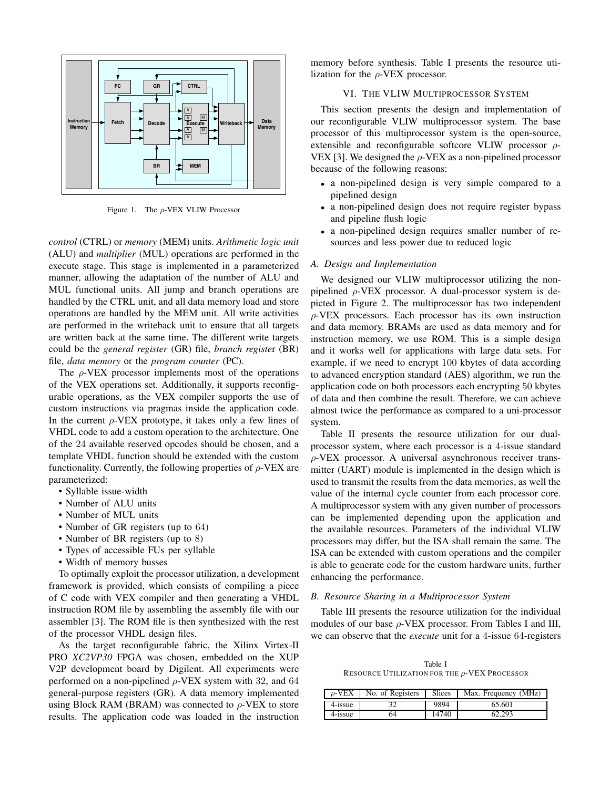

Figure 1. The  $\rho$ -VEX VLIW Processor

*control* (CTRL) or *memory* (MEM) units. *Arithmetic logic unit* (ALU) and *multiplier* (MUL) operations are performed in the execute stage. This stage is implemented in a parameterized manner, allowing the adaptation of the number of ALU and MUL functional units. All jump and branch operations are handled by the CTRL unit, and all data memory load and store operations are handled by the MEM unit. All write activities are performed in the writeback unit to ensure that all targets are written back at the same time. The different write targets could be the *general register* (GR) file, *branch registe*r (BR) file, *data memory* or the *program counter* (PC).

The  $\rho$ -VEX processor implements most of the operations of the VEX operations set. Additionally, it supports reconfigurable operations, as the VEX compiler supports the use of custom instructions via pragmas inside the application code. In the current  $\rho$ -VEX prototype, it takes only a few lines of VHDL code to add a custom operation to the architecture. One of the 24 available reserved opcodes should be chosen, and a template VHDL function should be extended with the custom functionality. Currently, the following properties of  $\rho$ -VEX are parameterized:

- Syllable issue-width
- Number of ALU units
- Number of MUL units
- Number of GR registers (up to 64)
- Number of BR registers (up to 8)
- Types of accessible FUs per syllable
- Width of memory busses

To optimally exploit the processor utilization, a development framework is provided, which consists of compiling a piece of C code with VEX compiler and then generating a VHDL instruction ROM file by assembling the assembly file with our assembler [3]. The ROM file is then synthesized with the rest of the processor VHDL design files.

As the target reconfigurable fabric, the Xilinx Virtex-II PRO *XC2VP30* FPGA was chosen, embedded on the XUP V2P development board by Digilent. All experiments were performed on a non-pipelined  $\rho$ -VEX system with 32, and 64 general-purpose registers (GR). A data memory implemented using Block RAM (BRAM) was connected to  $\rho$ -VEX to store results. The application code was loaded in the instruction

memory before synthesis. Table I presents the resource utilization for the  $\rho$ -VEX processor.

# VI. THE VLIW MULTIPROCESSOR SYSTEM

This section presents the design and implementation of our reconfigurable VLIW multiprocessor system. The base processor of this multiprocessor system is the open-source, extensible and reconfigurable softcore VLIW processor  $\rho$ -VEX [3]. We designed the  $\rho$ -VEX as a non-pipelined processor because of the following reasons:

- *•* a non-pipelined design is very simple compared to a pipelined design
- *•* a non-pipelined design does not require register bypass and pipeline flush logic
- *•* a non-pipelined design requires smaller number of resources and less power due to reduced logic

# *A. Design and Implementation*

We designed our VLIW multiprocessor utilizing the nonpipelined  $\rho$ -VEX processor. A dual-processor system is depicted in Figure 2. The multiprocessor has two independent  $\rho$ -VEX processors. Each processor has its own instruction and data memory. BRAMs are used as data memory and for instruction memory, we use ROM. This is a simple design and it works well for applications with large data sets. For example, if we need to encrypt 100 kbytes of data according to advanced encryption standard (AES) algorithm, we run the application code on both processors each encrypting 50 kbytes of data and then combine the result. Therefore, we can achieve almost twice the performance as compared to a uni-processor system.

Table II presents the resource utilization for our dualprocessor system, where each processor is a 4-issue standard ρ-VEX processor. A universal asynchronous receiver transmitter (UART) module is implemented in the design which is used to transmit the results from the data memories, as well the value of the internal cycle counter from each processor core. A multiprocessor system with any given number of processors can be implemented depending upon the application and the available resources. Parameters of the individual VLIW processors may differ, but the ISA shall remain the same. The ISA can be extended with custom operations and the compiler is able to generate code for the custom hardware units, further enhancing the performance.

#### *B. Resource Sharing in a Multiprocessor System*

Table III presents the resource utilization for the individual modules of our base  $\rho$ -VEX processor. From Tables I and III, we can observe that the *execute* unit for a 4-issue 64-registers

Table I RESOURCE UTILIZATION FOR THE  $\rho$ -VEX PROCESSOR

| $o$ -VEX | No. of Registers | <b>Slices</b> | Max. Frequency (MHz) |
|----------|------------------|---------------|----------------------|
| 4-issue  | 2 ገ              | 9894          | 65.601               |
| 4-issue  | 64               | 14740         | 62.293               |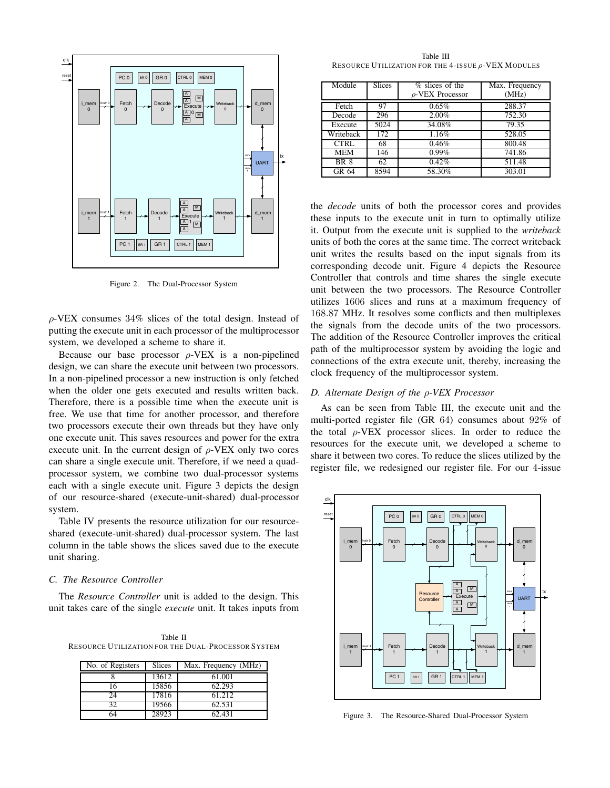

Figure 2. The Dual-Processor System

 $\rho$ -VEX consumes 34% slices of the total design. Instead of putting the execute unit in each processor of the multiprocessor system, we developed a scheme to share it.

Because our base processor  $\rho$ -VEX is a non-pipelined design, we can share the execute unit between two processors. In a non-pipelined processor a new instruction is only fetched when the older one gets executed and results written back. Therefore, there is a possible time when the execute unit is free. We use that time for another processor, and therefore two processors execute their own threads but they have only one execute unit. This saves resources and power for the extra execute unit. In the current design of  $\rho$ -VEX only two cores can share a single execute unit. Therefore, if we need a quadprocessor system, we combine two dual-processor systems each with a single execute unit. Figure 3 depicts the design of our resource-shared (execute-unit-shared) dual-processor system.

Table IV presents the resource utilization for our resourceshared (execute-unit-shared) dual-processor system. The last column in the table shows the slices saved due to the execute unit sharing.

#### *C. The Resource Controller*

The *Resource Controller* unit is added to the design. This unit takes care of the single *execute* unit. It takes inputs from

Table II RESOURCE UTILIZATION FOR THE DUAL-PROCESSOR SYSTEM

| No. of Registers | <b>Slices</b> | Max. Frequency (MHz) |
|------------------|---------------|----------------------|
|                  | 13612         | 61.001               |
|                  | 15856         | 62.293               |
| 24               | 17816         | 61.212               |
| 32               | 19566         | 62.531               |
|                  | 28923         | 62.431               |

Table III RESOURCE UTILIZATION FOR THE 4-ISSUE  $\rho$ -VEX MODULES

| Module          | <b>Slices</b> | $%$ slices of the<br>$\rho$ -VEX Processor | Max. Frequency<br>(MHz) |
|-----------------|---------------|--------------------------------------------|-------------------------|
| Fetch           | 97            | 0.65%                                      | 288.37                  |
| Decode          | 296           | 2.00%                                      | 752.30                  |
| Execute         | 5024          | 34.08%                                     | 79.35                   |
| Writeback       | 172           | 1.16%                                      | 528.05                  |
| CTRL            | 68            | 0.46%                                      | 800.48                  |
| <b>MEM</b>      | 146           | $0.99\%$                                   | 741.86                  |
| BR <sub>8</sub> | 62            | 0.42%                                      | 511.48                  |
| GR 64           | 8594          | 58.30%                                     | 303.01                  |

the *decode* units of both the processor cores and provides these inputs to the execute unit in turn to optimally utilize it. Output from the execute unit is supplied to the *writeback* units of both the cores at the same time. The correct writeback unit writes the results based on the input signals from its corresponding decode unit. Figure 4 depicts the Resource Controller that controls and time shares the single execute unit between the two processors. The Resource Controller utilizes 1606 slices and runs at a maximum frequency of 168.87 MHz. It resolves some conflicts and then multiplexes the signals from the decode units of the two processors. The addition of the Resource Controller improves the critical path of the multiprocessor system by avoiding the logic and connections of the extra execute unit, thereby, increasing the clock frequency of the multiprocessor system.

# *D. Alternate Design of the* ρ*-VEX Processor*

As can be seen from Table III, the execute unit and the multi-ported register file (GR 64) consumes about 92% of the total  $\rho$ -VEX processor slices. In order to reduce the resources for the execute unit, we developed a scheme to share it between two cores. To reduce the slices utilized by the register file, we redesigned our register file. For our 4-issue



Figure 3. The Resource-Shared Dual-Processor System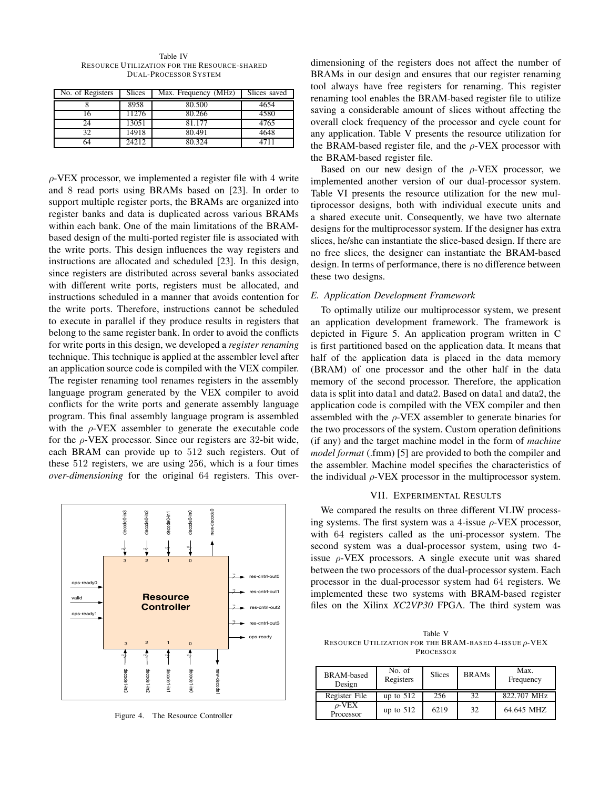| No. of Registers | <b>Slices</b> | Max. Frequency (MHz) | Slices saved |
|------------------|---------------|----------------------|--------------|
|                  | 8958          | 80.500               | 4654         |
|                  | 11276         | 80.266               | 4580         |
| 24               | 13051         | 81.177               | 4765         |
| 32               | 14918         | 80.491               | 4648         |
| 54               | 24212         | 80.324               | 4711         |

Table IV RESOURCE UTILIZATION FOR THE RESOURCE-SHARED DUAL-PROCESSOR SYSTEM

 $\rho$ -VEX processor, we implemented a register file with 4 write and 8 read ports using BRAMs based on [23]. In order to support multiple register ports, the BRAMs are organized into register banks and data is duplicated across various BRAMs within each bank. One of the main limitations of the BRAMbased design of the multi-ported register file is associated with the write ports. This design influences the way registers and instructions are allocated and scheduled [23]. In this design, since registers are distributed across several banks associated with different write ports, registers must be allocated, and instructions scheduled in a manner that avoids contention for the write ports. Therefore, instructions cannot be scheduled to execute in parallel if they produce results in registers that belong to the same register bank. In order to avoid the conflicts for write ports in this design, we developed a *register renaming* technique. This technique is applied at the assembler level after an application source code is compiled with the VEX compiler. The register renaming tool renames registers in the assembly language program generated by the VEX compiler to avoid conflicts for the write ports and generate assembly language program. This final assembly language program is assembled with the  $\rho$ -VEX assembler to generate the executable code for the  $\rho$ -VEX processor. Since our registers are 32-bit wide, each BRAM can provide up to 512 such registers. Out of these 512 registers, we are using 256, which is a four times *over-dimensioning* for the original 64 registers. This over-



Figure 4. The Resource Controller

dimensioning of the registers does not affect the number of BRAMs in our design and ensures that our register renaming tool always have free registers for renaming. This register renaming tool enables the BRAM-based register file to utilize saving a considerable amount of slices without affecting the overall clock frequency of the processor and cycle count for any application. Table V presents the resource utilization for the BRAM-based register file, and the  $\rho$ -VEX processor with the BRAM-based register file.

Based on our new design of the  $\rho$ -VEX processor, we implemented another version of our dual-processor system. Table VI presents the resource utilization for the new multiprocessor designs, both with individual execute units and a shared execute unit. Consequently, we have two alternate designs for the multiprocessor system. If the designer has extra slices, he/she can instantiate the slice-based design. If there are no free slices, the designer can instantiate the BRAM-based design. In terms of performance, there is no difference between these two designs.

#### *E. Application Development Framework*

To optimally utilize our multiprocessor system, we present an application development framework. The framework is depicted in Figure 5. An application program written in C is first partitioned based on the application data. It means that half of the application data is placed in the data memory (BRAM) of one processor and the other half in the data memory of the second processor. Therefore, the application data is split into data1 and data2. Based on data1 and data2, the application code is compiled with the VEX compiler and then assembled with the  $\rho$ -VEX assembler to generate binaries for the two processors of the system. Custom operation definitions (if any) and the target machine model in the form of *machine model format* (.fmm) [5] are provided to both the compiler and the assembler. Machine model specifies the characteristics of the individual  $\rho$ -VEX processor in the multiprocessor system.

#### VII. EXPERIMENTAL RESULTS

We compared the results on three different VLIW processing systems. The first system was a 4-issue  $\rho$ -VEX processor, with 64 registers called as the uni-processor system. The second system was a dual-processor system, using two 4 issue  $\rho$ -VEX processors. A single execute unit was shared between the two processors of the dual-processor system. Each processor in the dual-processor system had 64 registers. We implemented these two systems with BRAM-based register files on the Xilinx *XC2VP30* FPGA. The third system was

Table V RESOURCE UTILIZATION FOR THE BRAM-BASED 4-ISSUE  $\rho$ -VEX PROCESSOR

| <b>BRAM-based</b><br>Design | No. of<br>Registers | <b>Slices</b> | <b>BRAMs</b> | Max.<br>Frequency |
|-----------------------------|---------------------|---------------|--------------|-------------------|
| Register File               | up to $512$         | 256           | 32           | 822.707 MHz       |
| $\rho$ -VEX<br>Processor    | up to $512$         | 6219          | 32           | 64.645 MHZ        |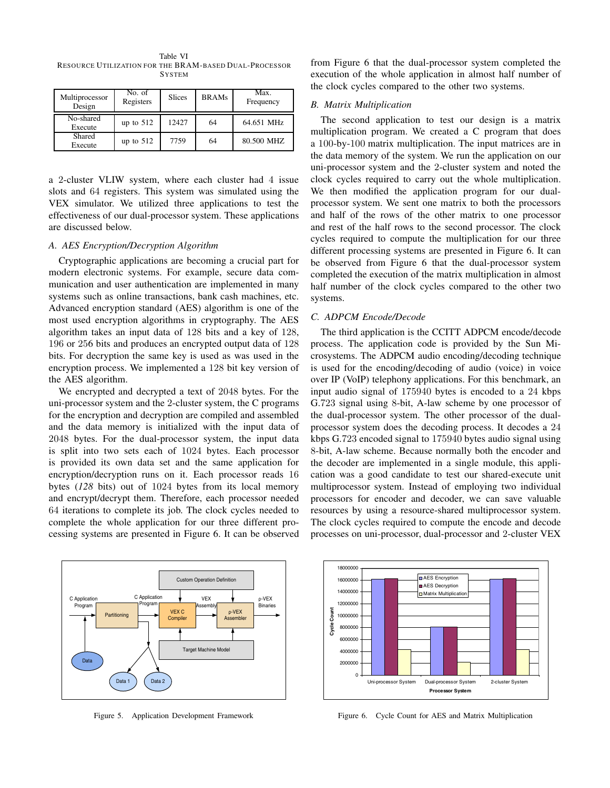Table VI RESOURCE UTILIZATION FOR THE BRAM-BASED DUAL-PROCESSOR **SYSTEM** 

| Multiprocessor<br>Design | No. of<br>Registers | <b>Slices</b> | <b>BRAMs</b> | Max.<br>Frequency |
|--------------------------|---------------------|---------------|--------------|-------------------|
| No-shared<br>Execute     | up to $512$         | 12427         | 64           | 64.651 MHz        |
| Shared<br>Execute        | up to $512$         | 7759          | 64           | 80.500 MHZ        |

a 2-cluster VLIW system, where each cluster had 4 issue slots and 64 registers. This system was simulated using the VEX simulator. We utilized three applications to test the effectiveness of our dual-processor system. These applications are discussed below.

# *A. AES Encryption/Decryption Algorithm*

Cryptographic applications are becoming a crucial part for modern electronic systems. For example, secure data communication and user authentication are implemented in many systems such as online transactions, bank cash machines, etc. Advanced encryption standard (AES) algorithm is one of the most used encryption algorithms in cryptography. The AES algorithm takes an input data of 128 bits and a key of 128, 196 or 256 bits and produces an encrypted output data of 128 bits. For decryption the same key is used as was used in the encryption process. We implemented a 128 bit key version of the AES algorithm.

We encrypted and decrypted a text of 2048 bytes. For the uni-processor system and the 2-cluster system, the C programs for the encryption and decryption are compiled and assembled and the data memory is initialized with the input data of 2048 bytes. For the dual-processor system, the input data is split into two sets each of 1024 bytes. Each processor is provided its own data set and the same application for encryption/decryption runs on it. Each processor reads 16 bytes (*128* bits) out of 1024 bytes from its local memory and encrypt/decrypt them. Therefore, each processor needed 64 iterations to complete its job. The clock cycles needed to complete the whole application for our three different processing systems are presented in Figure 6. It can be observed

Partitioning VEX C **Compiler** -VEX **Assemble** Custom Operation Definition C Application Program C Application Application **(FX** VEX<br>Program **VEX** Assembly -VEX **Binaries** 

Target Machine Model

Figure 5. Application Development Framework

Data 1 ) ( Data 2

Data

from Figure 6 that the dual-processor system completed the execution of the whole application in almost half number of the clock cycles compared to the other two systems.

# *B. Matrix Multiplication*

The second application to test our design is a matrix multiplication program. We created a C program that does a 100-by-100 matrix multiplication. The input matrices are in the data memory of the system. We run the application on our uni-processor system and the 2-cluster system and noted the clock cycles required to carry out the whole multiplication. We then modified the application program for our dualprocessor system. We sent one matrix to both the processors and half of the rows of the other matrix to one processor and rest of the half rows to the second processor. The clock cycles required to compute the multiplication for our three different processing systems are presented in Figure 6. It can be observed from Figure 6 that the dual-processor system completed the execution of the matrix multiplication in almost half number of the clock cycles compared to the other two systems.

# *C. ADPCM Encode/Decode*

The third application is the CCITT ADPCM encode/decode process. The application code is provided by the Sun Microsystems. The ADPCM audio encoding/decoding technique is used for the encoding/decoding of audio (voice) in voice over IP (VoIP) telephony applications. For this benchmark, an input audio signal of 175940 bytes is encoded to a 24 kbps G.723 signal using 8-bit, A-law scheme by one processor of the dual-processor system. The other processor of the dualprocessor system does the decoding process. It decodes a 24 kbps G.723 encoded signal to 175940 bytes audio signal using 8-bit, A-law scheme. Because normally both the encoder and the decoder are implemented in a single module, this application was a good candidate to test our shared-execute unit multiprocessor system. Instead of employing two individual processors for encoder and decoder, we can save valuable resources by using a resource-shared multiprocessor system. The clock cycles required to compute the encode and decode processes on uni-processor, dual-processor and 2-cluster VEX



Figure 6. Cycle Count for AES and Matrix Multiplication